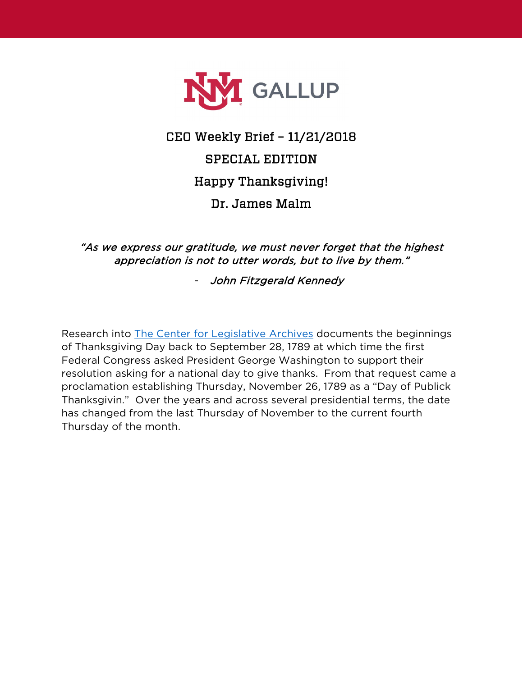

## CEO Weekly Brief – 11/21/2018 SPECIAL EDITION Happy Thanksgiving! Dr. James Malm

"As we express our gratitude, we must never forget that the highest appreciation is not to utter words, but to live by them."

- John Fitzgerald Kennedy

Research into [The Center for Legislative Archives](https://www.archives.gov/legislative/features/thanksgiving) documents the beginnings of Thanksgiving Day back to September 28, 1789 at which time the first Federal Congress asked President George Washington to support their resolution asking for a national day to give thanks. From that request came a proclamation establishing Thursday, November 26, 1789 as a "Day of Publick Thanksgivin." Over the years and across several presidential terms, the date has changed from the last Thursday of November to the current fourth Thursday of the month.